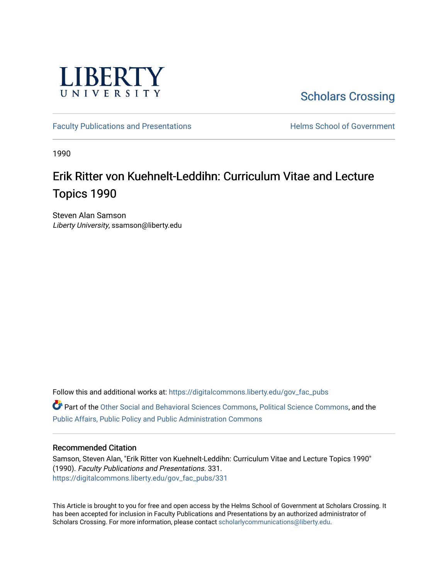

[Scholars Crossing](https://digitalcommons.liberty.edu/) 

[Faculty Publications and Presentations](https://digitalcommons.liberty.edu/gov_fac_pubs) **Exercise School of Government** 

1990

# Erik Ritter von Kuehnelt-Leddihn: Curriculum Vitae and Lecture Topics 1990

Steven Alan Samson Liberty University, ssamson@liberty.edu

Follow this and additional works at: [https://digitalcommons.liberty.edu/gov\\_fac\\_pubs](https://digitalcommons.liberty.edu/gov_fac_pubs?utm_source=digitalcommons.liberty.edu%2Fgov_fac_pubs%2F331&utm_medium=PDF&utm_campaign=PDFCoverPages) Part of the [Other Social and Behavioral Sciences Commons](http://network.bepress.com/hgg/discipline/437?utm_source=digitalcommons.liberty.edu%2Fgov_fac_pubs%2F331&utm_medium=PDF&utm_campaign=PDFCoverPages), [Political Science Commons](http://network.bepress.com/hgg/discipline/386?utm_source=digitalcommons.liberty.edu%2Fgov_fac_pubs%2F331&utm_medium=PDF&utm_campaign=PDFCoverPages), and the [Public Affairs, Public Policy and Public Administration Commons](http://network.bepress.com/hgg/discipline/393?utm_source=digitalcommons.liberty.edu%2Fgov_fac_pubs%2F331&utm_medium=PDF&utm_campaign=PDFCoverPages)

### Recommended Citation

Samson, Steven Alan, "Erik Ritter von Kuehnelt-Leddihn: Curriculum Vitae and Lecture Topics 1990" (1990). Faculty Publications and Presentations. 331. [https://digitalcommons.liberty.edu/gov\\_fac\\_pubs/331](https://digitalcommons.liberty.edu/gov_fac_pubs/331?utm_source=digitalcommons.liberty.edu%2Fgov_fac_pubs%2F331&utm_medium=PDF&utm_campaign=PDFCoverPages)

This Article is brought to you for free and open access by the Helms School of Government at Scholars Crossing. It has been accepted for inclusion in Faculty Publications and Presentations by an authorized administrator of Scholars Crossing. For more information, please contact [scholarlycommunications@liberty.edu.](mailto:scholarlycommunications@liberty.edu)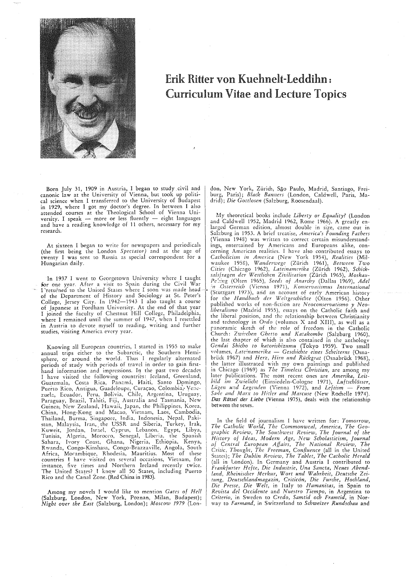

## Erik Ritter von Kuehnelt-Leddihn: Curriculum Vitae and Lecture Topics

Born July 31, 1909 in Austria, I began to study civil and canonic law at the University of Vienna, but took up political science when I transferred to the University of Budapest in 1929, where I gOt my doctor's degree. In between I also attended courses at the Theological School of Vienna University. I speak  $-$  more or less fluently  $-$  eight languages and have a reading knowledge of 11 others, necessary for my research.

At sixteen I began to write for newspapers and periodicals (the first being the London *Spectator)* and at the age of twenty I was sent to Russia as special correspondent for a Hungarian daily.

In 1937 I went to Georgetown University where I taught for one year. After a visit to Spain during the Civil War I returned to the United States where I soon was made head of the Department of History and Sociology at St. Peter's College, Jersey City. In 1942-1943 I also taught a course of Japanese at Fordham University. At the end of that year I joined the faculty of Chestnut Hill College, Philadelphia, where I remained until the summer of 1947, when I resettled in Austria to devote myself to reading, writing and further studies, visiting America every year.

Knowing all European countries, 1 started in 1955 to make annual trips either to the Subarctic, the Southern Hemisphere, or around the world. Thus I regularly alternated periods of study with periods of travel in order to gain firsthand information and impressions. In the past two decades I have visited the following countribs: Iceland, Greenland, Guatemala, Costa Rica, Panamá, Haiti, Santo Domingo, Puerto Rico, Antigua, Guadeloupe, Curacao, Colombia, Venezuela, Ecuador, Peru, Bolivia, Chile, Argentina, Uruguay, Paraguay, Brazil, Tahiti, Fiji, Australia and Tasmania, New Guinea', New Zealand, Hawaii, Japan, the Philippines, Korea, China, Hong-Kong and Macao, Vietnam, Laos, Cambodia, Thailand, Burma, Singapore, India, Indonesia, Nepal, Pakistan, Malaysia, Iran, the USSR and Siberia, Turkey, Irak, Kuweit, Jordan, Israel, Cyprus, Lebanon, Egypt, Libya, Tunisia, Algeria, Morocco, Senegal, Liberia, the Spanish Sahara, Ivory Coast, Ghana, Nigeria, Ethiopia, Kenya, Rwanda, Congo-Kinshasa, Congo-Brazzaville, Angola, South Africa, Morambique, Rhodesia, Mauritius. Most of these countries I have visited on several occasions, Vietnam, for imtance, five times and Northern Ireland recently twice. The United States? I know all 50 States, including Puerto Rico and the Canal Zone. (Red China in 1983).

Among my novels I would like to mention *Gates of Hell*  (Salzburg, London, New York, Poznan, Milan, Budapest); *Night over the East* (Salzburg, London); *Moscow* 1979 (London, New York, Zürich, São Paulo, Madrid, Santiago, Freiburg, Paris); *Black Banners* (London, Caldwell, Paris, Madrid); *Die Gottlosen* (Salzburg, Roosendaal).

My theoretical books include *Liberty* or *Equality?* (London and Caldwell 1952, Madrid 1962, Rome 1966). A greatly enlarged German edition, almost double in size, came our in Salzburg in 1953. A brief treatise, *America's Founding Fathers*  (Vienna 1948) was written to correct certain misunderstandings, entertained by Americans and Europeans alike, concerning American realities. I have also contributed essays to *Catholicism in America* (New York 1954), *Realities* (Milwaukee 1958), *Wandcrwege* (Zurich 1961), *Between Two Cities* (Chicago 1962), *Lateinamcrika* (Zurich 1962), *Scbicksalsfragen der Westlichen Zivili!ation* (Zurich 1965), *Moskau-Pe'cing* (Olten 1965), *Seeds of Anarchy* (Dallas 1969), *Adel :n .Osterreicb* (Vienna 1971), *Konscrvalismus Intemacional*  (Stuttgart 1973), arid an account of early American history for the *Hane!buch der Weftgescbichte* (Olten 1956). Other published works of non-fiction are *Neoconservatismo y Neoliberalismo* (Madrid 1955), essays on the Catholic faith and the liberal position, and the relationship between Christianity and technology in *Ordo* (volumes X and XIII), as well as a p.noramic sketch of the role of freecom in the Catholic Church: *Zwhchen Ghetto und Katakombe* (Salzburg 1960), the last chapter of which is also contained in the anthology *Gendai Shicho to katorishizumu* (Tokyo 1959). Two small volumes, *Lateinamerika — Geschichte eines Scheiterns* (Osna-<br>brück 1967) and *Herz, Hirn und Rückgrat* (Osnabrück 1968), the latter illustrated with my own paintings and published in Chicago (1969) as *Tbe Timeless Christian,* are among my later publications. The most recent ones are *Amerika, Leitbile! im Zwielicht* (Einsiedeln-Cologne 1971), *Luftschlosser, Uigen u;,d Legcnden* (Vienna 1972), and *Leftism* - *From Sa.fe ,md Marx to Hitler and Marcuse* (New Rochelle 1974). *Das Ralsel der Liebe* (Vienna 1975), deals with the relationship between the sexes.

In the field of journalism I have written for: *Tomorrow, The Catholic World, The Commonweal, America, The Geographic Review, The Southwest Review, The Journal of the History of Ideas, Modern Age, New Scholasticism, Journal Df Central European Affairs, The National Review, The Critic, Thought, The Freeman, Confluence* (all in the United States); *The Dublin Review, The Tablet, The Catholic Herald*  (all in London). In Germany and Austria I contributed to *Frankfurter Hefte, Die Industrie, Una Sancta, Neues Abendland, Rheinischer M erkur, Wort und Wahrheit, Deutsche Zeitung, Deutschlandmagazin, Critic6n, Die Furche, Hochland, Die* Presse, *Die Welt,* in Italy to *Humanitas,* in Spain to *Revista del Occidente* and *Nuestro Tiempo,* in Argentina to *Criterio,* in Sweden to *Credo, Sam tid och Framtid,* in Norway to *Farmand,* in Switzerland to *Schweizer Rundschau* and